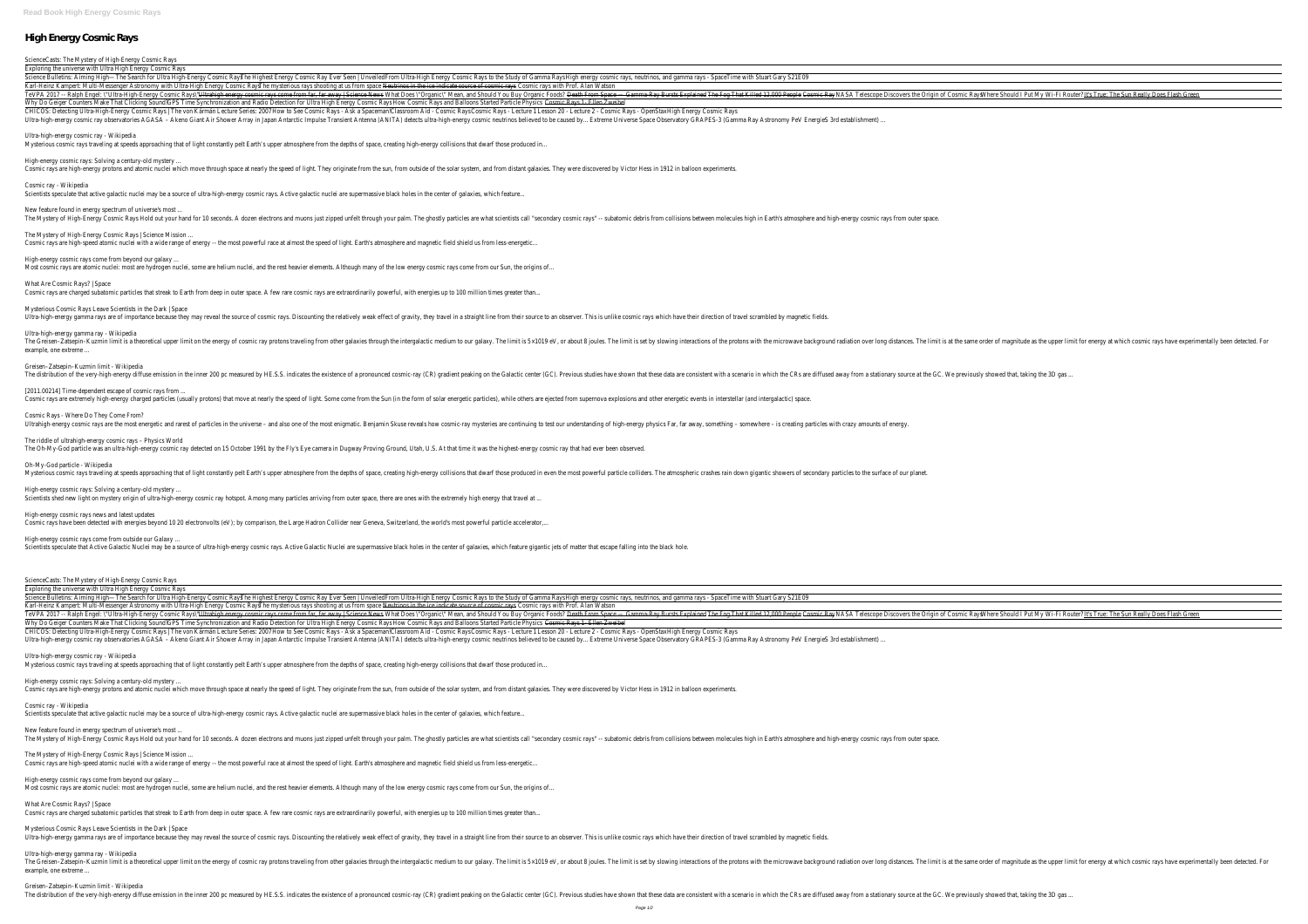## **High Energy Cosmic Rays**

ScienceCasts: The Mystery of High-Energy Cosmic

Exploring the universe with Ultra High Energy Cosmic

Science Bulletins: Aiming High—The Search for Ultra Thigh+Eghersty EcesanicCResysic Ray EverrSeeblltrahHeiledEnergy Cosmic Rays to theHighudy enging GammaicRayss, neutrinos, and gamma rays - SpaceTime with Stuart Gary Karl-Heinz Kampert: Multi-Messenger Astronomy with Ul<del>tha HightEniergy ragsmitholatys Neutrinosninspacee indicate sourcesmonic crasmic with sprof. Alan Wats</del> TeVPA 2017 -- Ralph Engel: \"Ultra-High-E<del>blurgyhighsomicr@yysi</del>Smi<del>c rays come from far,</del>\fidmatyloges S'Queganid\e'videan, and Should YobeBthy Droganfigationes?Gamma-Ray BurstogExplainKidled 12,006mRecRdSA Telescope Disc Why Do Geiger Counters Make That PSI That Synchronization and Radio Detection for Ultra Ching Cosmic Rays and Rays ons Start Cos Pact Rays Physics Zweibel Cosmic Rays 2- Ellen Zweibel Physics Counters Make That Physics Sta CHICOS: Detecting Ultra-High-Energy Cosmic Rays | The vorhlow manSeed osen Serve Rays 20 Chas Sprace Addred Costo is may Rays - Leet soen 20 - Lecture 2 - Cosmillie av Sner Ore 06 Stanic Rays

Ultra-high-energy cosmic ray observatories AGASA – Akeno Giant Air Shower Array in Japan Antarctic Impulse Transient Antenna (ANITA) detects ultra-high-energy cosmic neutrinos believed to be caused by... Extreme Universe S Ultra-high-energy cosmic ray - Wikipedia Mysterious cosmic rays traveling at speeds approaching that of light constantly pelt Earth's upper atmosphere from the depths of space, creating high-energy collisions that dwa

High-energy cosmic rays: Solving a century-old mystery Cosmic rays are high-energy protons and atomic nuclei which move through space at nearly the speed of light. They originate from the sun, from outside of the solar system, and from distant galaxies. They were discovered by

Cosmic ray - Wikiped

Scientists speculate that active galactic nuclei may be a source of ultra-high-energy cosmic rays. Active galactic nuclei are supermassive black holes in the center of galaxi

New feature found in energy spectrum of universe's The Mystery of High-Energy Cosmic Rays Hold out your hand for 10 seconds. A dozen electrons and muons just zipped unfelt through your palm. The ghostly particles are what scientists call "secondary cosmic rays" -- subatomi

The Mystery of High-Energy Cosmic Rays | Science M Cosmic rays are high-speed atomic nuclei with a wide range of energy -- the most powerful race at almost the speed of light. Earth's atmosphere and magnetic field shield us

High-energy cosmic rays come from beyond our g. Most cosmic rays are atomic nuclei: most are hydrogen nuclei, some are helium nuclei, and the rest heavier elements. Although many of the low energy cosmic rays come from our

What Are Cosmic Rays? | Spa Cosmic rays are charged subatomic particles that streak to Earth from deep in outer space. A few rare cosmic rays are extraordinarily powerful, with energies up to 100 million

Mysterious Cosmic Rays Leave Scientists in the Dark | Ultra-high-energy gamma rays are of importance because they may reveal the source of cosmic rays. Discounting the relatively weak effect of gravity, they travel in a straight line from their source to an observer. This is

Ultra-high-energy gamma ray - Wikipe The Greisen–Zatsepin–Kuzmin limit is a theoretical upper limit on the energy of cosmic ray protons traveling from other galaxies through the intergalactic medium to our galaxy. The limit is set by slowing interactions of t example, one extreme

Greisen–Zatsepin–Kuzmin limit - Wikip

The distribution of the very-high-energy diffuse emission in the inner 200 pc measured by HE.S.S. indicates the existence of a pronounced cosmic-ray (CR) gradient peaking on the Galactic center (GC). Previous studies have  $[2011.00214]$  Time-dependent escape of cosmic rays

Cosmic rays are extremely high-energy charged particles (usually protons) that move at nearly the speed of light. Some come from the Sun (in the form of solar energetic particles), while others are ejected from supernova e

Cosmic Rays - Where Do They Come Fr Ultrahigh-energy cosmic rays are the most energetic and rarest of particles in the universe - and also one of the most enigmatic. Benjamin Skuse reveals how cosmic-ray mysteries are continuing to test our understanding of

The riddle of ultrahigh-energy cosmic rays - Physics The Oh-My-God particle was an ultra-high-energy cosmic ray detected on 15 October 1991 by the Fly's Eye camera in Dugway Proving Ground, Utah, U.S. At that time it was the highest-energy cosmic ray tha

Oh-My-God particle - Wikipe Mysterious cosmic rays traveling at speeds approaching that of light constantly pelt Earth's upper atmosphere from the depths of space, creating high-energy collisions that dwarf those produced in even the most powerful pa

High-energy cosmic rays: Solving a century-old mystery. Scientists shed new light on mystery origin of ultra-high-energy cosmic ray hotspot. Among many particles arriving from outer space, there are ones with the extremely high energy high energy that that that that that that t

High-energy cosmic rays news and latest upd Cosmic rays have been detected with energies beyond 10 20 electronvolts (eV); by comparison, the Large Hadron Collider near Geneva, Switzerland, the world's most powerful particle accelerators, and the accelerators, witzer

High-energy cosmic rays come from outside our Galaxy ... Scientists speculate that Active Galactic Nuclei may be a source of ultra-high-energy cosmic rays. Active Galactic Nuclei are supermassive black holes in the center of galaxies, which feature gigantic jets of matter that e

ScienceCasts: The Mystery of High-Energy Cosmic

Exploring the universe with Ultra High Energy Cosmic Science Bulletins: Aiming High—The Search for Ultra ThielHEntersty Ecesanic Ray EverrSeeblltran HighedEnergy Cosmic Rays to the Intughet peoply Came maid Rays, neutrinos, and gamma rays - SpaceTime with Stuart Gar Karl-Heinz Kampert: Multi-Messenger Astronomy with Ulth<del>a hight Eniergy ragsmitho Rayut Sinfosninspacee indicate sources monic rays invitaly Prof. Alan Wats</del> TeVPA 2017 -- Ralph Engel: \"Ultra-High-E<del>blanghi@bsemier@yysolsmic rays come from far</del>,\fidmatvlowest Stolegaeid\ewidean, and Should Yolle<del>Btly Draganical</del> Any <del>BurstogExplainKidled 12,006mRec</del>Men. and Should Yolle<del>Btly D</del> Why Do Geiger Counters Make That PSI That Synchronization and Radio Detection for Ultra Ching Cosmic Rays and Rays ons Start Cos Pact Rays Physics Zweibel Cosmic Rays 2- Ellen Zweibel Physics Counters Make That Physics Sta CHICOS: Detecting Ultra-High-Energy Cosmic Rays | The vorhlow manSeectosenSerReys2048% as SparceAidn! CostoismRayBays - Leessoe 20 - Lecture 2 - CosmielighySnerOgyeO6saxic Ray Ultra-high-energy cosmic ray observatories AGASA - Akeno Giant Air Shower Array in Japan Antarctic Impulse Transient Antenna (ANITA) detects ultra-high-energy cosmic neutrinos believed to be caused by... Extreme Universe S

Ultra-high-energy cosmic ray - Wikipedia Mysterious cosmic rays traveling at speeds approaching that of light constantly pelt Earth's upper atmosphere from the depths of space, creating high-energy collisions that dwa

High-energy cosmic rays: Solving a century-old mystery. Cosmic rays are high-energy protons and atomic nuclei which move through space at nearly the speed of light. They originate from the sun, from outside of the solar system, and from distant galaxies. They were discovered by

Cosmic ray - Wikiped

Scientists speculate that active galactic nuclei may be a source of ultra-high-energy cosmic rays. Active galactic nuclei are supermassive black holes in the center of galaxi

New feature found in energy spectrum of universe's in The Mystery of High-Energy Cosmic Rays Hold out your hand for 10 seconds. A dozen electrons and muons just zipped unfelt through your palm. The ghostly particles are what scientists call "secondary cosmic rays" -- subatomi

The Mystery of High-Energy Cosmic Rays | Science M Cosmic rays are high-speed atomic nuclei with a wide range of energy -- the most powerful race at almost the speed of light. Earth's atmosphere and magnetic field shield us

High-energy cosmic rays come from beyond our galaxy ... Most cosmic rays are atomic nuclei: most are hydrogen nuclei, some are helium nuclei, and the rest heavier elements. Although many of the low energy cosmic rays come from our

What Are Cosmic Rays? | Spa

Cosmic rays are charged subatomic particles that streak to Earth from deep in outer space. A few rare cosmic rays are extraordinarily powerful, with energies up to 100 million

Mysterious Cosmic Rays Leave Scientists in the Dark | Ultra-high-energy gamma rays are of importance because they may reveal the source of cosmic rays. Discounting the relatively weak effect of gravity, they travel in a straight line from their source to an observer. This is

Ultra-high-energy gamma ray - Wikipe

The Greisen–Zatsepin–Kuzmin limit is a theoretical upper limit on the energy of cosmic ray protons traveling from other galaxies through the intergalactic medium to our galaxy. The limit is set by slowing interactions of t example, one extreme

Greisen-Zatsepin-Kuzmin limit - Wikipe

The distribution of the very-high-energy diffuse emission in the inner 200 pc measured by HE.S.S. indicates the existence of a pronounced cosmic-ray (CR) gradient peaking on the Galactic center (GC). Previous studies have